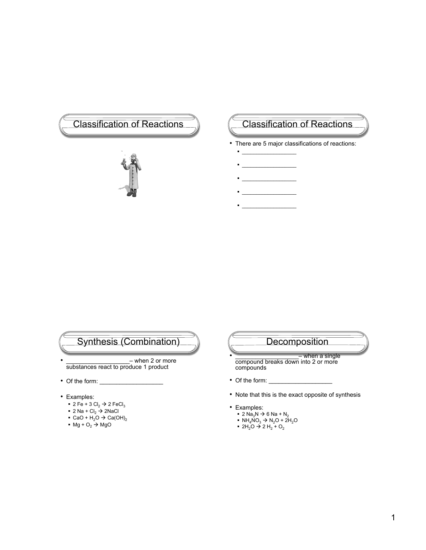# Classification of Reactions (Classification of Reactions



- There are 5 major classifications of reactions:
	- $\blacksquare$  \_ \_ \_ \_ \_ \_ \_ \_ \_ \_ \_ \_ \_ \_
	- $\frac{1}{2}$
	- $\mathcal{L}_\text{max}$
	- $\mathcal{L}_\text{max}$  $\blacksquare$  \_ \_ \_ \_ \_ \_ \_ \_ \_ \_ \_ \_ \_ \_

## Synthesis (Combination)

- $-$  when 2 or more substances react to produce 1 product
- $\bullet$  Of the form:  $\_$
- Examples:
	- $\blacksquare$  2 Fe + 3 Cl<sub>2</sub>  $\rightarrow$  2 FeCl<sub>3</sub>
	- 2 Na + Cl $_2$  → 2NaCl
	- CaO + H<sub>2</sub>O  $\rightarrow$  Ca(OH)<sub>2</sub>
	- $Mg + O<sub>2</sub> \rightarrow MgO$

## **Decomposition**

• \_\_\_\_\_\_\_\_\_\_\_\_\_\_\_\_\_\_\_\_\_- when a single compound breaks down into 2 or more compounds

- Of the form: \_\_\_\_\_\_\_\_\_\_\_\_\_\_\_\_\_\_\_
- Note that this is the exact opposite of synthesis
- Examples:
	- 2 Na<sub>3</sub>N  $\rightarrow$  6 Na + N<sub>2</sub>
	- NH<sub>4</sub>NO<sub>3</sub>  $\rightarrow$  N<sub>2</sub>O + 2H<sub>2</sub>O
	- 2H<sub>2</sub>O → 2 H<sub>2</sub> + O<sub>2</sub>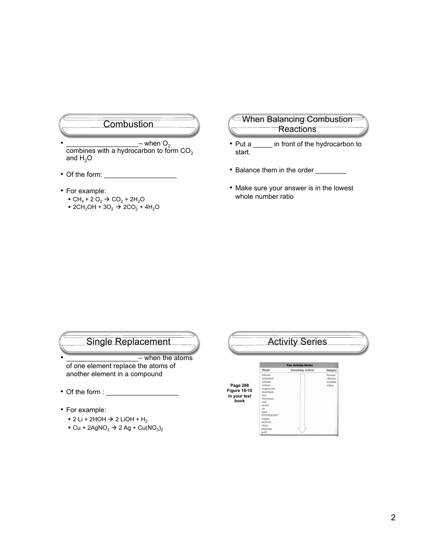#### **Combustion**

- $-$  when  $O_2$ combines with a hydrocarbon to form  $CO<sub>2</sub>$ and  $H<sub>2</sub>O$
- Of the form: \_\_\_\_\_\_\_\_\_\_\_\_\_\_\_\_\_\_\_
- For example:
	- $\bullet$  CH<sub>4</sub> + 2 O<sub>2</sub>  $\to$  CO<sub>2</sub> + 2H<sub>2</sub>O
	- $2CH_3OH + 3O_2 \rightarrow 2CO_2 + 4H_2O$

#### When Balancing Combustion **Reactions**

- Put a \_\_\_\_\_ in front of the hydrocarbon to start.
- Balance them in the order \_\_\_\_\_\_\_\_\_
- Make sure your answer is in the lowest whole number ratio

## Single Replacement

- when the atoms of one element replace the atoms of another element in a compound
- Of the form :
- For example:
	- $\bullet$  2 Li + 2HOH  $\rightarrow$  2 LiOH + H<sub>2</sub>
	- $\bullet$  Cu + 2AgNO<sub>3</sub>  $\rightarrow$  2 Ag + Cu(NO<sub>3</sub>)<sub>2</sub>

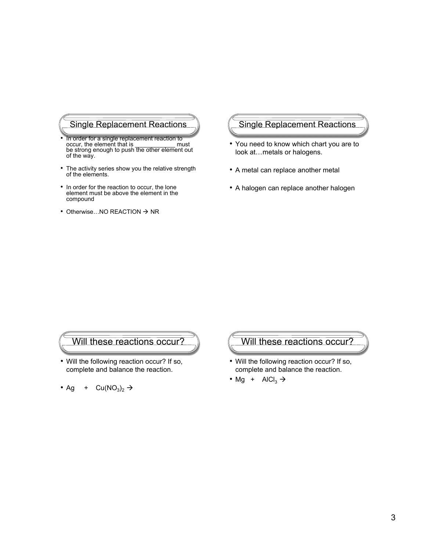## Single Replacement Reactions

- In order for a single replacement reaction to occur, the element that is \_\_\_\_\_\_\_\_\_\_\_\_ must be strong enough to push the other element out of the way.
- The activity series show you the relative strength of the elements.
- In order for the reaction to occur, the lone element must be above the element in the compound
- Otherwise...NO REACTION  $\rightarrow$  NR

# Single Replacement Reactions

- You need to know which chart you are to look at…metals or halogens.
- A metal can replace another metal
- A halogen can replace another halogen

#### Will these reactions occur?

• Will the following reaction occur? If so, complete and balance the reaction.

• Ag + Cu(NO<sub>3</sub>)<sub>2</sub> 
$$
\rightarrow
$$

#### Will these reactions occur?

- Will the following reaction occur? If so, complete and balance the reaction.
- Mg +  $AICI_3 \rightarrow$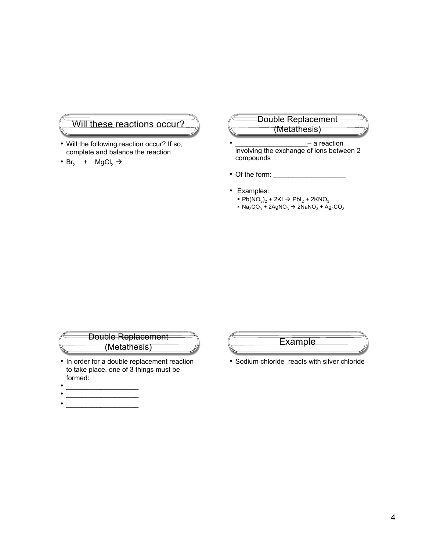#### Will these reactions occur?

- Will the following reaction occur? If so, complete and balance the reaction.
- Br<sub>2</sub> + MgCl<sub>2</sub>  $\rightarrow$

#### Double Replacement (Metathesis)

- \_\_\_\_\_\_\_\_\_\_\_\_\_\_\_\_\_\_\_– a reaction involving the exchange of ions between 2 compounds
- Of the form: \_\_\_
- Examples:
	- $Pb(NO_3)_2 + 2KI \rightarrow PbI_2 + 2KNO_3$
	- $\bullet$  Na<sub>2</sub>CO<sub>3</sub> + 2AgNO<sub>3</sub>  $\rightarrow$  2NaNO<sub>3</sub> + Ag<sub>2</sub>CO<sub>3</sub>

# Double Replacement (Metathesis)

- In order for a double replacement reaction to take place, one of 3 things must be formed:
- \_\_\_\_\_\_\_\_\_\_\_\_\_\_\_\_\_\_\_ • \_\_\_\_\_\_\_\_\_\_\_\_\_\_\_\_\_\_\_
- \_\_\_\_\_\_\_\_\_\_\_\_\_\_\_\_\_\_\_



• Sodium chloride reacts with silver chloride